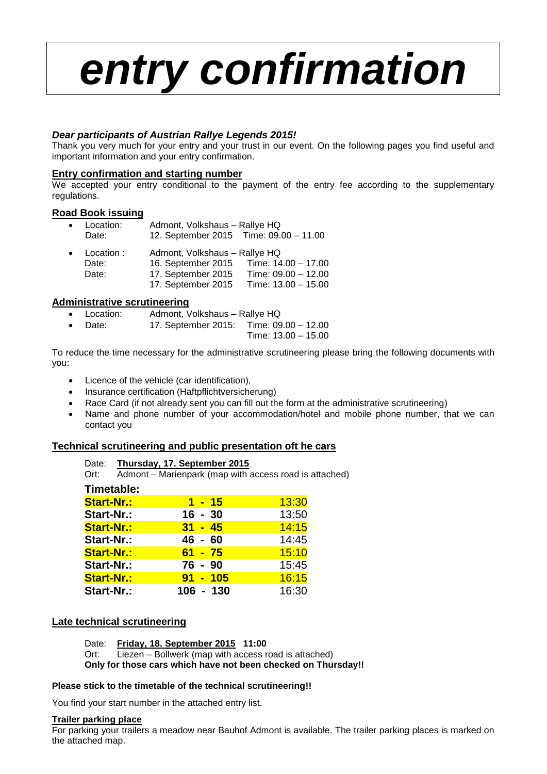# *entry confirmation*

## *Dear participants of Austrian Rallye Legends 2015!*

Thank you very much for your entry and your trust in our event. On the following pages you find useful and important information and your entry confirmation.

#### **Entry confirmation and starting number**

We accepted your entry conditional to the payment of the entry fee according to the supplementary regulations.

#### **Road Book issuing**

| Location: | Admont, Volkshaus - Rallye HQ          |  |  |
|-----------|----------------------------------------|--|--|
| Date:     | 12. September 2015 Time: 09.00 - 11.00 |  |  |

| $\bullet$ | Location : | Admont, Volkshaus - Rallye HQ |                       |  |  |
|-----------|------------|-------------------------------|-----------------------|--|--|
|           | Date:      | 16. September 2015            | Time: 14.00 - 17.00   |  |  |
|           | Date:      | 17. September 2015            | Time: $09.00 - 12.00$ |  |  |
|           |            | 17. September 2015            | Time: $13.00 - 15.00$ |  |  |

#### **Administrative scrutineering**

- Location: Admont, Volkshaus Rallye HQ
- Date: 17. September 2015: Time: 09.00 12.00

Time: 13.00 – 15.00

To reduce the time necessary for the administrative scrutineering please bring the following documents with you:

- Licence of the vehicle (car identification),
- Insurance certification (Haftpflichtversicherung)
- Race Card (if not already sent you can fill out the form at the administrative scrutineering)
- Name and phone number of your accommodation/hotel and mobile phone number, that we can contact you

## **Technical scrutineering and public presentation oft he cars**

| Ort:              | Date: Thursday, 17. September 2015<br>Admont - Marienpark (map with access road is attached) |             |  |                 |       |  |
|-------------------|----------------------------------------------------------------------------------------------|-------------|--|-----------------|-------|--|
| Timetable:        |                                                                                              |             |  |                 |       |  |
| <b>Start-Nr.:</b> |                                                                                              |             |  | $1 - 15$        | 13:30 |  |
| Start-Nr.:        |                                                                                              | $16 - 30$   |  |                 | 13:50 |  |
| <b>Start-Nr.:</b> |                                                                                              | $31 - 45$   |  |                 | 14:15 |  |
| Start-Nr.:        |                                                                                              | $46 - 60$   |  |                 | 14:45 |  |
| <b>Start-Nr.:</b> |                                                                                              | $61 - 75$   |  |                 | 15:10 |  |
| Start-Nr.:        |                                                                                              | 76 - 90     |  |                 | 15:45 |  |
| <b>Start-Nr.:</b> |                                                                                              |             |  | <u>91 - 105</u> | 16:15 |  |
| Start-Nr.:        |                                                                                              | $106 - 130$ |  |                 | 16:30 |  |

#### **Late technical scrutineering**

Date: **Friday, 18. September 2015 11:00**

Ort: Liezen – Bollwerk (map with access road is attached)

**Only for those cars which have not been checked on Thursday!!**

#### **Please stick to the timetable of the technical scrutineering!!**

You find your start number in the attached entry list.

#### **Trailer parking place**

For parking your trailers a meadow near Bauhof Admont is available. The trailer parking places is marked on the attached map.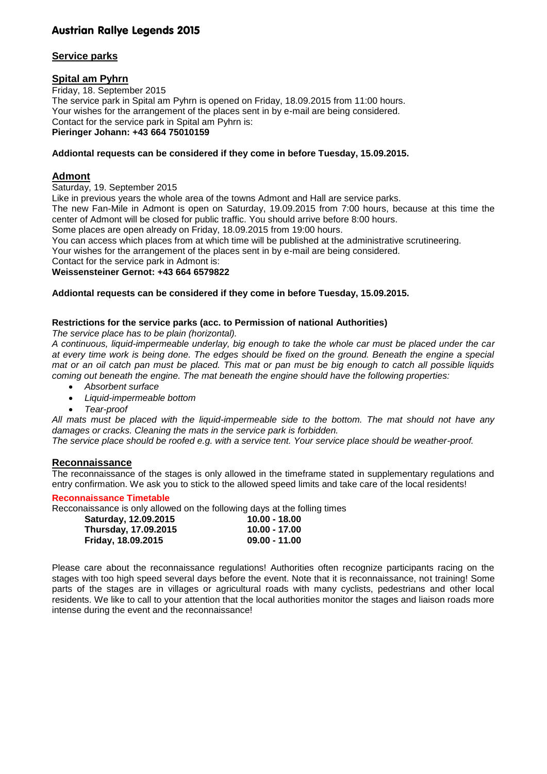## **Service parks**

#### **Spital am Pyhrn**

Friday, 18. September 2015 The service park in Spital am Pyhrn is opened on Friday, 18.09.2015 from 11:00 hours. Your wishes for the arrangement of the places sent in by e-mail are being considered. Contact for the service park in Spital am Pyhrn is: **Pieringer Johann: +43 664 75010159**

#### **Addiontal requests can be considered if they come in before Tuesday, 15.09.2015.**

## **Admont**

Saturday, 19. September 2015

Like in previous years the whole area of the towns Admont and Hall are service parks.

The new Fan-Mile in Admont is open on Saturday, 19.09.2015 from 7:00 hours, because at this time the center of Admont will be closed for public traffic. You should arrive before 8:00 hours.

Some places are open already on Friday, 18.09.2015 from 19:00 hours.

You can access which places from at which time will be published at the administrative scrutineering.

Your wishes for the arrangement of the places sent in by e-mail are being considered.

Contact for the service park in Admont is:

# **Weissensteiner Gernot: +43 664 6579822**

#### **Addiontal requests can be considered if they come in before Tuesday, 15.09.2015.**

#### **Restrictions for the service parks (acc. to Permission of national Authorities)**

*The service place has to be plain (horizontal).*

*A continuous, liquid-impermeable underlay, big enough to take the whole car must be placed under the car at every time work is being done. The edges should be fixed on the ground. Beneath the engine a special mat or an oil catch pan must be placed. This mat or pan must be big enough to catch all possible liquids coming out beneath the engine. The mat beneath the engine should have the following properties:*

- *Absorbent surface*
- *Liquid-impermeable bottom*
- *Tear-proof*

*All mats must be placed with the liquid-impermeable side to the bottom. The mat should not have any damages or cracks. Cleaning the mats in the service park is forbidden.*

*The service place should be roofed e.g. with a service tent. Your service place should be weather-proof.*

#### **Reconnaissance**

The reconnaissance of the stages is only allowed in the timeframe stated in supplementary regulations and entry confirmation. We ask you to stick to the allowed speed limits and take care of the local residents!

#### **Reconnaissance Timetable**

Recconaissance is only allowed on the following days at the folling times

| Saturday, 12.09.2015 | $10.00 - 18.00$ |
|----------------------|-----------------|
| Thursday, 17.09.2015 | $10.00 - 17.00$ |
| Friday, 18.09.2015   | $09.00 - 11.00$ |

Please care about the reconnaissance regulations! Authorities often recognize participants racing on the stages with too high speed several days before the event. Note that it is reconnaissance, not training! Some parts of the stages are in villages or agricultural roads with many cyclists, pedestrians and other local residents. We like to call to your attention that the local authorities monitor the stages and liaison roads more intense during the event and the reconnaissance!